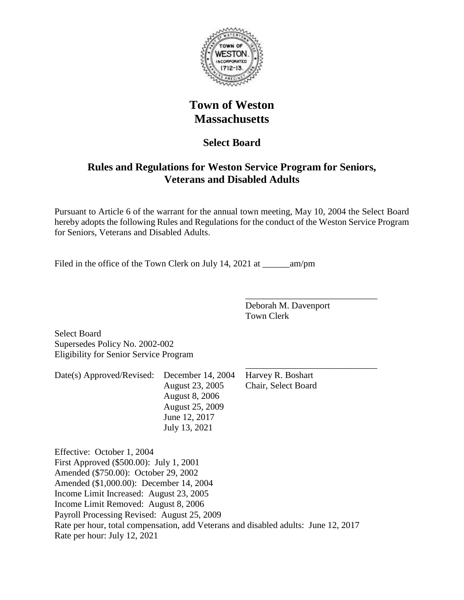

# **Town of Weston Massachusetts**

# **Select Board**

# **Rules and Regulations for Weston Service Program for Seniors, Veterans and Disabled Adults**

Pursuant to Article 6 of the warrant for the annual town meeting, May 10, 2004 the Select Board hereby adopts the following Rules and Regulations for the conduct of the Weston Service Program for Seniors, Veterans and Disabled Adults.

Filed in the office of the Town Clerk on July 14, 2021 at \_\_\_\_\_\_am/pm

Deborah M. Davenport Town Clerk

\_\_\_\_\_\_\_\_\_\_\_\_\_\_\_\_\_\_\_\_\_\_\_\_\_\_\_\_\_

Select Board Supersedes Policy No. 2002-002 Eligibility for Senior Service Program

\_\_\_\_\_\_\_\_\_\_\_\_\_\_\_\_\_\_\_\_\_\_\_\_\_\_\_\_\_ Date(s) Approved/Revised: December 14, 2004 Harvey R. Boshart August 23, 2005 Chair, Select Board August 8, 2006 August 25, 2009 June 12, 2017 July 13, 2021

Effective: October 1, 2004 First Approved (\$500.00): July 1, 2001 Amended (\$750.00): October 29, 2002 Amended (\$1,000.00): December 14, 2004 Income Limit Increased: August 23, 2005 Income Limit Removed: August 8, 2006 Payroll Processing Revised: August 25, 2009 Rate per hour, total compensation, add Veterans and disabled adults: June 12, 2017 Rate per hour: July 12, 2021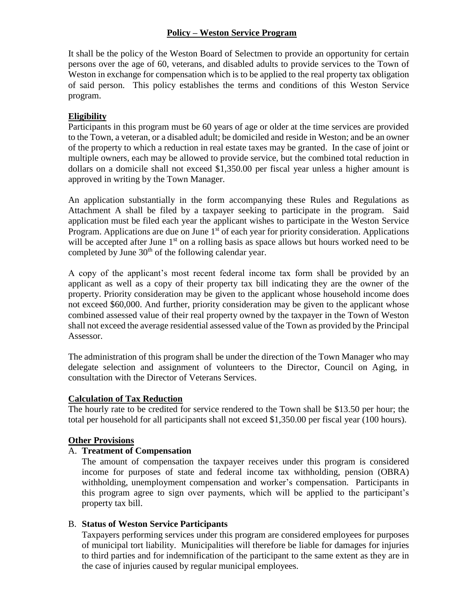#### **Policy – Weston Service Program**

It shall be the policy of the Weston Board of Selectmen to provide an opportunity for certain persons over the age of 60, veterans, and disabled adults to provide services to the Town of Weston in exchange for compensation which is to be applied to the real property tax obligation of said person. This policy establishes the terms and conditions of this Weston Service program.

#### **Eligibility**

Participants in this program must be 60 years of age or older at the time services are provided to the Town, a veteran, or a disabled adult; be domiciled and reside in Weston; and be an owner of the property to which a reduction in real estate taxes may be granted. In the case of joint or multiple owners, each may be allowed to provide service, but the combined total reduction in dollars on a domicile shall not exceed \$1,350.00 per fiscal year unless a higher amount is approved in writing by the Town Manager.

An application substantially in the form accompanying these Rules and Regulations as Attachment A shall be filed by a taxpayer seeking to participate in the program. Said application must be filed each year the applicant wishes to participate in the Weston Service Program. Applications are due on June 1<sup>st</sup> of each year for priority consideration. Applications will be accepted after June  $1<sup>st</sup>$  on a rolling basis as space allows but hours worked need to be completed by June  $30<sup>th</sup>$  of the following calendar year.

A copy of the applicant's most recent federal income tax form shall be provided by an applicant as well as a copy of their property tax bill indicating they are the owner of the property. Priority consideration may be given to the applicant whose household income does not exceed \$60,000. And further, priority consideration may be given to the applicant whose combined assessed value of their real property owned by the taxpayer in the Town of Weston shall not exceed the average residential assessed value of the Town as provided by the Principal Assessor.

The administration of this program shall be under the direction of the Town Manager who may delegate selection and assignment of volunteers to the Director, Council on Aging, in consultation with the Director of Veterans Services.

#### **Calculation of Tax Reduction**

The hourly rate to be credited for service rendered to the Town shall be \$13.50 per hour; the total per household for all participants shall not exceed \$1,350.00 per fiscal year (100 hours).

#### **Other Provisions**

### A. **Treatment of Compensation**

The amount of compensation the taxpayer receives under this program is considered income for purposes of state and federal income tax withholding, pension (OBRA) withholding, unemployment compensation and worker's compensation. Participants in this program agree to sign over payments, which will be applied to the participant's property tax bill.

#### B. **Status of Weston Service Participants**

Taxpayers performing services under this program are considered employees for purposes of municipal tort liability. Municipalities will therefore be liable for damages for injuries to third parties and for indemnification of the participant to the same extent as they are in the case of injuries caused by regular municipal employees.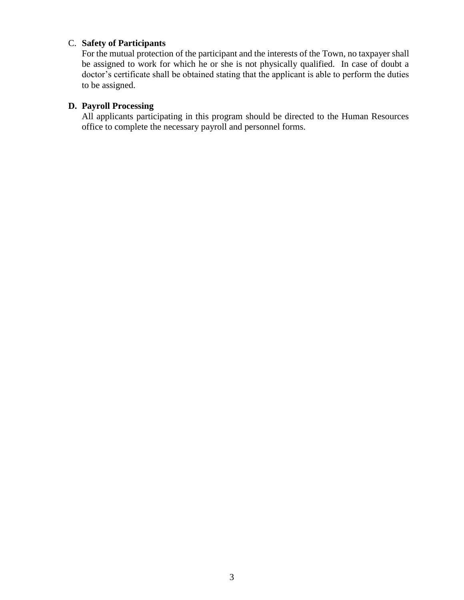# C. **Safety of Participants**

For the mutual protection of the participant and the interests of the Town, no taxpayer shall be assigned to work for which he or she is not physically qualified. In case of doubt a doctor's certificate shall be obtained stating that the applicant is able to perform the duties to be assigned.

# **D. Payroll Processing**

All applicants participating in this program should be directed to the Human Resources office to complete the necessary payroll and personnel forms.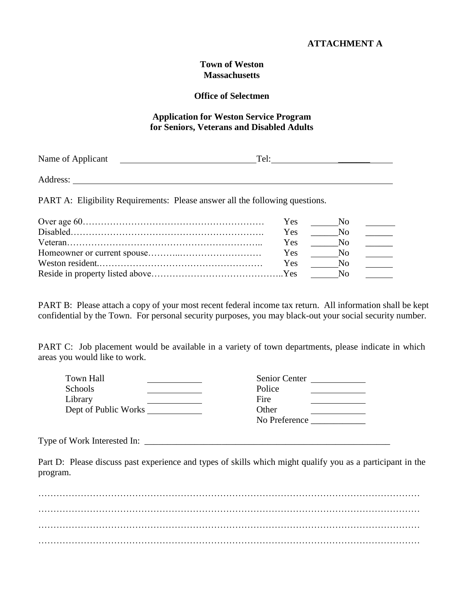#### **Town of Weston Massachusetts**

#### **Office of Selectmen**

#### **Application for Weston Service Program for Seniors, Veterans and Disabled Adults**

| Name of Applicant | Tel: |  |  |
|-------------------|------|--|--|
|                   |      |  |  |
| Address:          |      |  |  |

PART A: Eligibility Requirements: Please answer all the following questions.

|           | <b>Yes</b> | No.          |  |
|-----------|------------|--------------|--|
| Disable d | <b>Yes</b> | No.          |  |
|           | <b>Yes</b> |              |  |
|           | Yes        | $N_{\Omega}$ |  |
|           | <b>Yes</b> | No. No.      |  |
|           |            | No.          |  |

PART B: Please attach a copy of your most recent federal income tax return. All information shall be kept confidential by the Town. For personal security purposes, you may black-out your social security number.

PART C: Job placement would be available in a variety of town departments, please indicate in which areas you would like to work.

| Town Hall            | Senior Center |
|----------------------|---------------|
| Schools              | Police        |
| Library              | Fire          |
| Dept of Public Works | Other         |
|                      | No Preference |

Type of Work Interested In:

Part D: Please discuss past experience and types of skills which might qualify you as a participant in the program.

……………………………………………………………………………………………………………… ……………………………………………………………………………………………………………… ……………………………………………………………………………………………………………… ………………………………………………………………………………………………………………